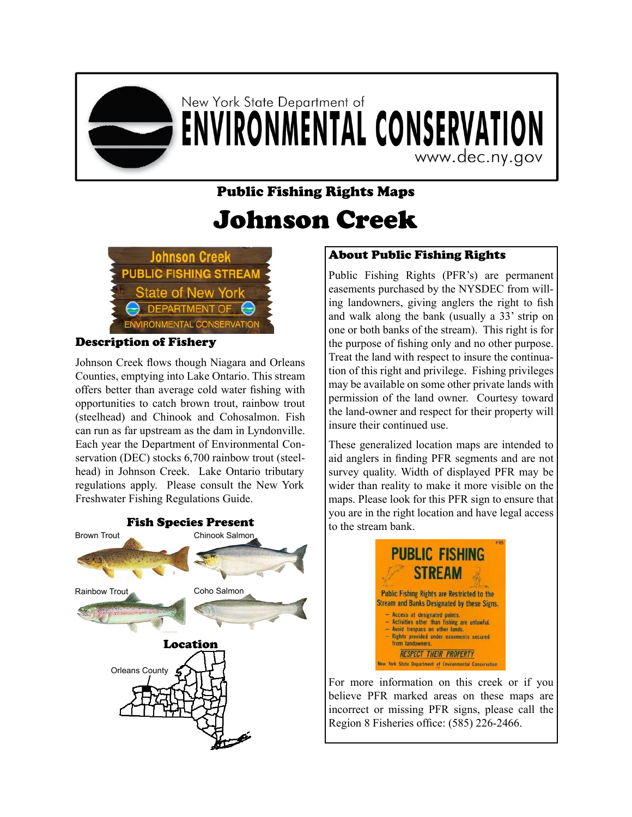

## New York State Department of **ENVIRONMENTAL CONSERVATION**

www.dec.ny.gov

## Public Fishing Rights Maps Johnson Creek



## Description of Fishery

Johnson Creek flows though Niagara and Orleans Counties, emptying into Lake Ontario. This stream offers better than average cold water fishing with opportunities to catch brown trout, rainbow trout (steelhead) and Chinook and Cohosalmon. Fish can run as far upstream as the dam in Lyndonville. Each year the Department of Environmental Conservation (DEC) stocks 6,700 rainbow trout (steelhead) in Johnson Creek. Lake Ontario tributary regulations apply. Please consult the New York Freshwater Fishing Regulations Guide.



## About Public Fishing Rights

Public Fishing Rights (PFR's) are permanent easements purchased by the NYSDEC from willing landowners, giving anglers the right to fish and walk along the bank (usually a 33' strip on one or both banks of the stream). This right is for the purpose of fishing only and no other purpose. Treat the land with respect to insure the continuation of this right and privilege. Fishing privileges may be available on some other private lands with permission of the land owner. Courtesy toward the land-owner and respect for their property will insure their continued use.

These generalized location maps are intended to aid anglers in finding PFR segments and are not survey quality. Width of displayed PFR may be wider than reality to make it more visible on the maps. Please look for this PFR sign to ensure that you are in the right location and have legal access to the stream bank.



For more information on this creek or if you believe PFR marked areas on these maps are incorrect or missing PFR signs, please call the Region 8 Fisheries office: (585) 226-2466.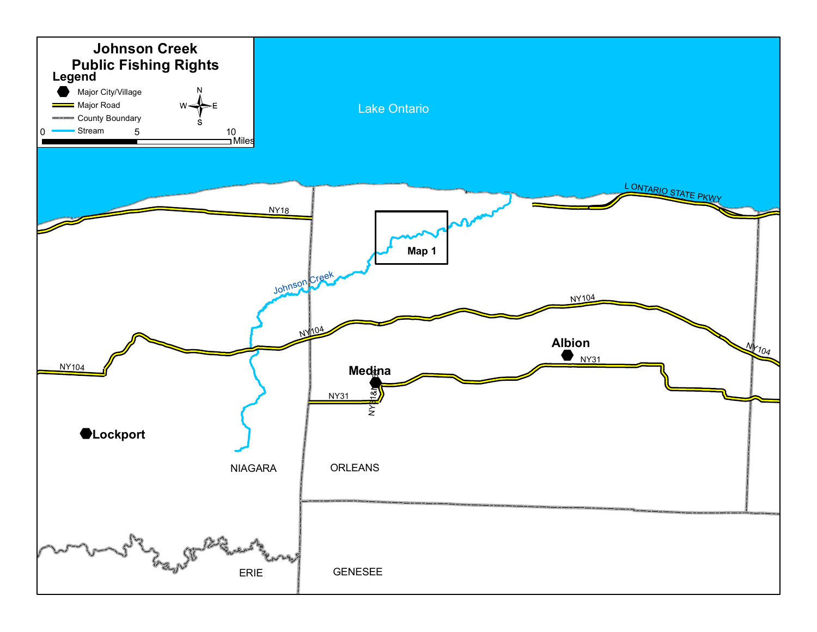